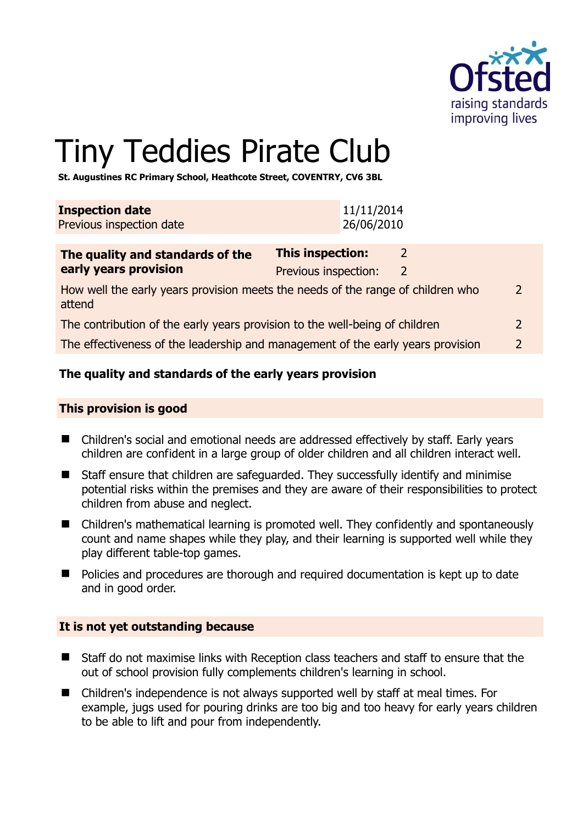

 $\overline{2}$ 

# Tiny Teddies Pirate Club

**St. Augustines RC Primary School, Heathcote Street, COVENTRY, CV6 3BL** 

| <b>Inspection date</b><br>Previous inspection date                                        |                                          | 11/11/2014<br>26/06/2010 |   |  |  |
|-------------------------------------------------------------------------------------------|------------------------------------------|--------------------------|---|--|--|
| The quality and standards of the<br>early years provision                                 | This inspection:<br>Previous inspection: |                          | 2 |  |  |
| How well the early years provision meets the needs of the range of children who<br>attend |                                          |                          |   |  |  |

The contribution of the early years provision to the well-being of children 2

The effectiveness of the leadership and management of the early years provision 2

# **The quality and standards of the early years provision**

#### **This provision is good**

- Children's social and emotional needs are addressed effectively by staff. Early years children are confident in a large group of older children and all children interact well.
- Staff ensure that children are safeguarded. They successfully identify and minimise potential risks within the premises and they are aware of their responsibilities to protect children from abuse and neglect.
- Children's mathematical learning is promoted well. They confidently and spontaneously count and name shapes while they play, and their learning is supported well while they play different table-top games.
- **Policies and procedures are thorough and required documentation is kept up to date** and in good order.

#### **It is not yet outstanding because**

- Staff do not maximise links with Reception class teachers and staff to ensure that the out of school provision fully complements children's learning in school.
- Children's independence is not always supported well by staff at meal times. For example, jugs used for pouring drinks are too big and too heavy for early years children to be able to lift and pour from independently.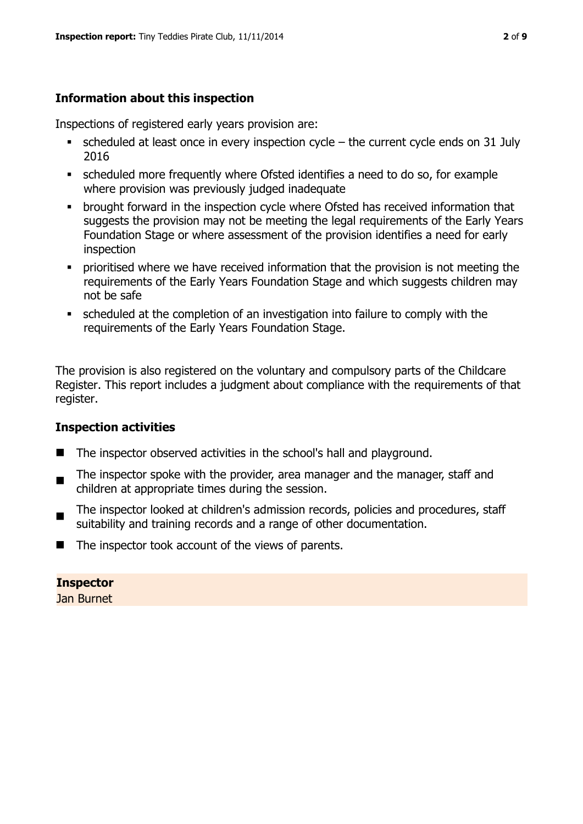# **Information about this inspection**

Inspections of registered early years provision are:

- $\blacksquare$  scheduled at least once in every inspection cycle the current cycle ends on 31 July 2016
- scheduled more frequently where Ofsted identifies a need to do so, for example where provision was previously judged inadequate
- **•** brought forward in the inspection cycle where Ofsted has received information that suggests the provision may not be meeting the legal requirements of the Early Years Foundation Stage or where assessment of the provision identifies a need for early inspection
- **•** prioritised where we have received information that the provision is not meeting the requirements of the Early Years Foundation Stage and which suggests children may not be safe
- scheduled at the completion of an investigation into failure to comply with the requirements of the Early Years Foundation Stage.

The provision is also registered on the voluntary and compulsory parts of the Childcare Register. This report includes a judgment about compliance with the requirements of that register.

# **Inspection activities**

- The inspector observed activities in the school's hall and playground.
- . The inspector spoke with the provider, area manager and the manager, staff and children at appropriate times during the session.
- The inspector looked at children's admission records, policies and procedures, staff suitability and training records and a range of other documentation.
- The inspector took account of the views of parents.

**Inspector**  Jan Burnet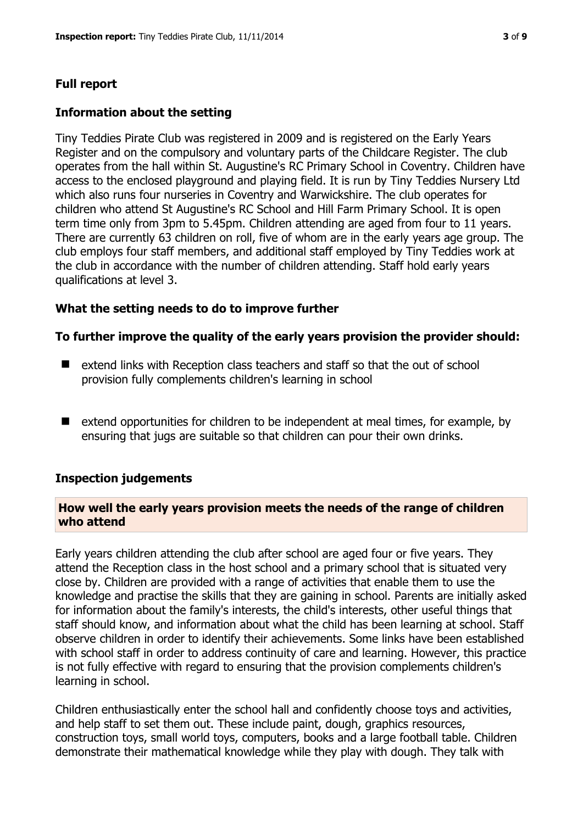# **Full report**

# **Information about the setting**

Tiny Teddies Pirate Club was registered in 2009 and is registered on the Early Years Register and on the compulsory and voluntary parts of the Childcare Register. The club operates from the hall within St. Augustine's RC Primary School in Coventry. Children have access to the enclosed playground and playing field. It is run by Tiny Teddies Nursery Ltd which also runs four nurseries in Coventry and Warwickshire. The club operates for children who attend St Augustine's RC School and Hill Farm Primary School. It is open term time only from 3pm to 5.45pm. Children attending are aged from four to 11 years. There are currently 63 children on roll, five of whom are in the early years age group. The club employs four staff members, and additional staff employed by Tiny Teddies work at the club in accordance with the number of children attending. Staff hold early years qualifications at level 3.

# **What the setting needs to do to improve further**

# **To further improve the quality of the early years provision the provider should:**

- $\blacksquare$  extend links with Reception class teachers and staff so that the out of school provision fully complements children's learning in school
- $\blacksquare$  extend opportunities for children to be independent at meal times, for example, by ensuring that jugs are suitable so that children can pour their own drinks.

#### **Inspection judgements**

#### **How well the early years provision meets the needs of the range of children who attend**

Early years children attending the club after school are aged four or five years. They attend the Reception class in the host school and a primary school that is situated very close by. Children are provided with a range of activities that enable them to use the knowledge and practise the skills that they are gaining in school. Parents are initially asked for information about the family's interests, the child's interests, other useful things that staff should know, and information about what the child has been learning at school. Staff observe children in order to identify their achievements. Some links have been established with school staff in order to address continuity of care and learning. However, this practice is not fully effective with regard to ensuring that the provision complements children's learning in school.

Children enthusiastically enter the school hall and confidently choose toys and activities, and help staff to set them out. These include paint, dough, graphics resources, construction toys, small world toys, computers, books and a large football table. Children demonstrate their mathematical knowledge while they play with dough. They talk with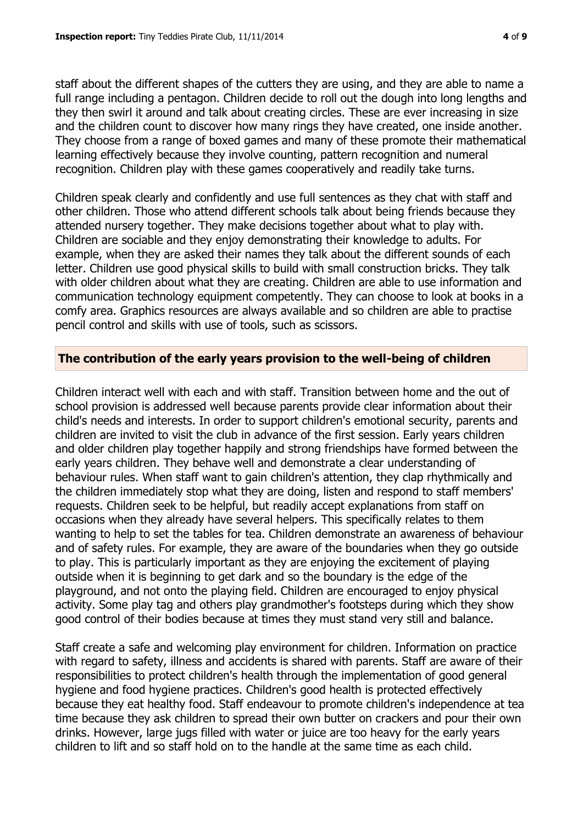staff about the different shapes of the cutters they are using, and they are able to name a full range including a pentagon. Children decide to roll out the dough into long lengths and they then swirl it around and talk about creating circles. These are ever increasing in size and the children count to discover how many rings they have created, one inside another. They choose from a range of boxed games and many of these promote their mathematical learning effectively because they involve counting, pattern recognition and numeral recognition. Children play with these games cooperatively and readily take turns.

Children speak clearly and confidently and use full sentences as they chat with staff and other children. Those who attend different schools talk about being friends because they attended nursery together. They make decisions together about what to play with. Children are sociable and they enjoy demonstrating their knowledge to adults. For example, when they are asked their names they talk about the different sounds of each letter. Children use good physical skills to build with small construction bricks. They talk with older children about what they are creating. Children are able to use information and communication technology equipment competently. They can choose to look at books in a comfy area. Graphics resources are always available and so children are able to practise pencil control and skills with use of tools, such as scissors.

# **The contribution of the early years provision to the well-being of children**

Children interact well with each and with staff. Transition between home and the out of school provision is addressed well because parents provide clear information about their child's needs and interests. In order to support children's emotional security, parents and children are invited to visit the club in advance of the first session. Early years children and older children play together happily and strong friendships have formed between the early years children. They behave well and demonstrate a clear understanding of behaviour rules. When staff want to gain children's attention, they clap rhythmically and the children immediately stop what they are doing, listen and respond to staff members' requests. Children seek to be helpful, but readily accept explanations from staff on occasions when they already have several helpers. This specifically relates to them wanting to help to set the tables for tea. Children demonstrate an awareness of behaviour and of safety rules. For example, they are aware of the boundaries when they go outside to play. This is particularly important as they are enjoying the excitement of playing outside when it is beginning to get dark and so the boundary is the edge of the playground, and not onto the playing field. Children are encouraged to enjoy physical activity. Some play tag and others play grandmother's footsteps during which they show good control of their bodies because at times they must stand very still and balance.

Staff create a safe and welcoming play environment for children. Information on practice with regard to safety, illness and accidents is shared with parents. Staff are aware of their responsibilities to protect children's health through the implementation of good general hygiene and food hygiene practices. Children's good health is protected effectively because they eat healthy food. Staff endeavour to promote children's independence at tea time because they ask children to spread their own butter on crackers and pour their own drinks. However, large jugs filled with water or juice are too heavy for the early years children to lift and so staff hold on to the handle at the same time as each child.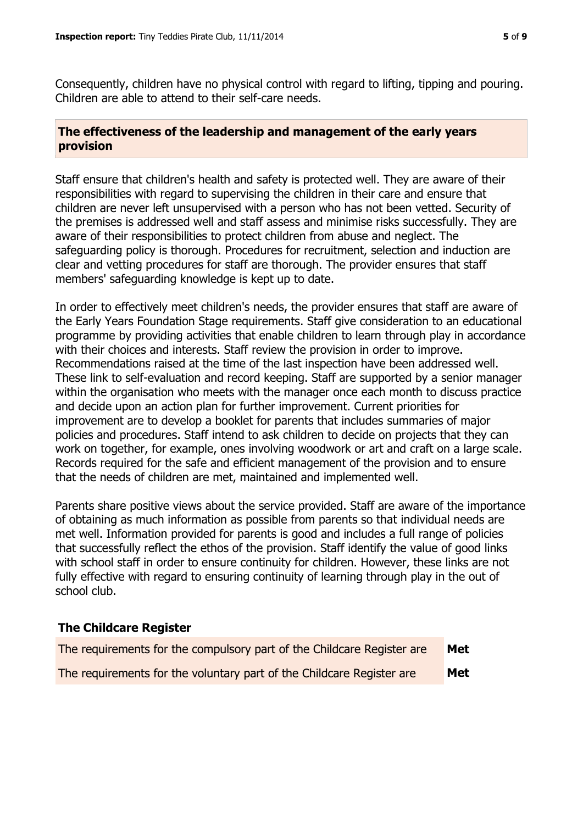Consequently, children have no physical control with regard to lifting, tipping and pouring. Children are able to attend to their self-care needs.

# **The effectiveness of the leadership and management of the early years provision**

Staff ensure that children's health and safety is protected well. They are aware of their responsibilities with regard to supervising the children in their care and ensure that children are never left unsupervised with a person who has not been vetted. Security of the premises is addressed well and staff assess and minimise risks successfully. They are aware of their responsibilities to protect children from abuse and neglect. The safeguarding policy is thorough. Procedures for recruitment, selection and induction are clear and vetting procedures for staff are thorough. The provider ensures that staff members' safeguarding knowledge is kept up to date.

In order to effectively meet children's needs, the provider ensures that staff are aware of the Early Years Foundation Stage requirements. Staff give consideration to an educational programme by providing activities that enable children to learn through play in accordance with their choices and interests. Staff review the provision in order to improve. Recommendations raised at the time of the last inspection have been addressed well. These link to self-evaluation and record keeping. Staff are supported by a senior manager within the organisation who meets with the manager once each month to discuss practice and decide upon an action plan for further improvement. Current priorities for improvement are to develop a booklet for parents that includes summaries of major policies and procedures. Staff intend to ask children to decide on projects that they can work on together, for example, ones involving woodwork or art and craft on a large scale. Records required for the safe and efficient management of the provision and to ensure that the needs of children are met, maintained and implemented well.

Parents share positive views about the service provided. Staff are aware of the importance of obtaining as much information as possible from parents so that individual needs are met well. Information provided for parents is good and includes a full range of policies that successfully reflect the ethos of the provision. Staff identify the value of good links with school staff in order to ensure continuity for children. However, these links are not fully effective with regard to ensuring continuity of learning through play in the out of school club.

# **The Childcare Register**

| The requirements for the compulsory part of the Childcare Register are | <b>Met</b> |
|------------------------------------------------------------------------|------------|
| The requirements for the voluntary part of the Childcare Register are  | <b>Met</b> |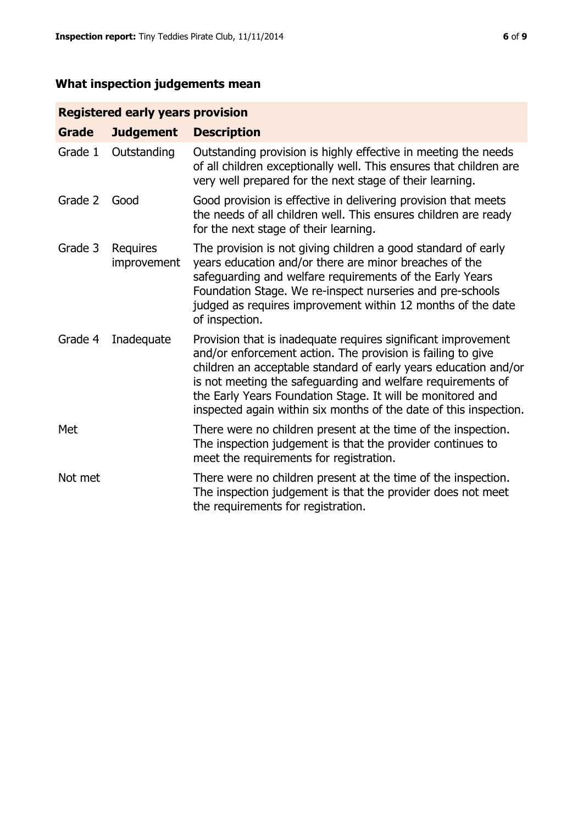# **What inspection judgements mean**

# **Registered early years provision**

| <b>Grade</b> | <b>Judgement</b>        | <b>Description</b>                                                                                                                                                                                                                                                                                                                                                                                |
|--------------|-------------------------|---------------------------------------------------------------------------------------------------------------------------------------------------------------------------------------------------------------------------------------------------------------------------------------------------------------------------------------------------------------------------------------------------|
| Grade 1      | Outstanding             | Outstanding provision is highly effective in meeting the needs<br>of all children exceptionally well. This ensures that children are<br>very well prepared for the next stage of their learning.                                                                                                                                                                                                  |
| Grade 2      | Good                    | Good provision is effective in delivering provision that meets<br>the needs of all children well. This ensures children are ready<br>for the next stage of their learning.                                                                                                                                                                                                                        |
| Grade 3      | Requires<br>improvement | The provision is not giving children a good standard of early<br>years education and/or there are minor breaches of the<br>safeguarding and welfare requirements of the Early Years<br>Foundation Stage. We re-inspect nurseries and pre-schools<br>judged as requires improvement within 12 months of the date<br>of inspection.                                                                 |
| Grade 4      | Inadequate              | Provision that is inadequate requires significant improvement<br>and/or enforcement action. The provision is failing to give<br>children an acceptable standard of early years education and/or<br>is not meeting the safeguarding and welfare requirements of<br>the Early Years Foundation Stage. It will be monitored and<br>inspected again within six months of the date of this inspection. |
| Met          |                         | There were no children present at the time of the inspection.<br>The inspection judgement is that the provider continues to<br>meet the requirements for registration.                                                                                                                                                                                                                            |
| Not met      |                         | There were no children present at the time of the inspection.<br>The inspection judgement is that the provider does not meet<br>the requirements for registration.                                                                                                                                                                                                                                |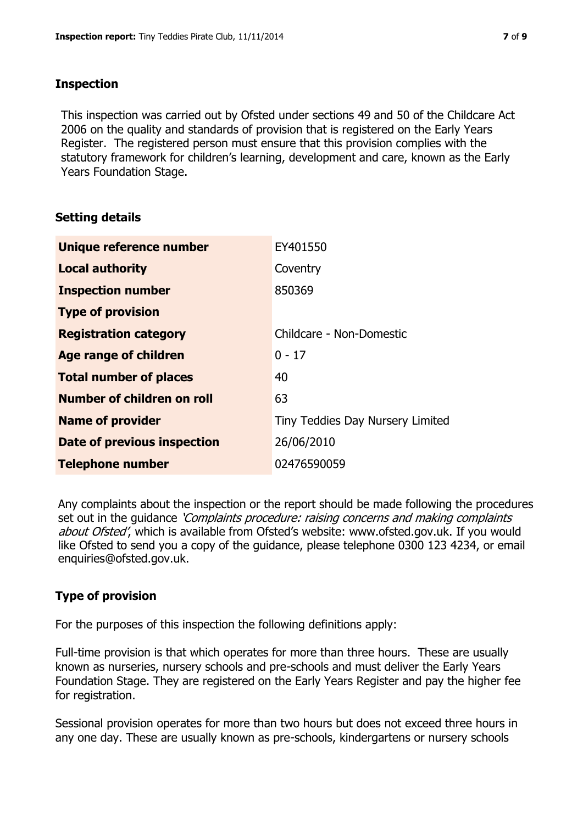# **Inspection**

This inspection was carried out by Ofsted under sections 49 and 50 of the Childcare Act 2006 on the quality and standards of provision that is registered on the Early Years Register. The registered person must ensure that this provision complies with the statutory framework for children's learning, development and care, known as the Early Years Foundation Stage.

# **Setting details**

| Unique reference number       | EY401550                         |
|-------------------------------|----------------------------------|
| <b>Local authority</b>        | Coventry                         |
| <b>Inspection number</b>      | 850369                           |
| <b>Type of provision</b>      |                                  |
| <b>Registration category</b>  | Childcare - Non-Domestic         |
| Age range of children         | $0 - 17$                         |
| <b>Total number of places</b> | 40                               |
| Number of children on roll    | 63                               |
| <b>Name of provider</b>       | Tiny Teddies Day Nursery Limited |
| Date of previous inspection   | 26/06/2010                       |
| <b>Telephone number</b>       | 02476590059                      |

Any complaints about the inspection or the report should be made following the procedures set out in the guidance *'Complaints procedure: raising concerns and making complaints* about Ofsted', which is available from Ofsted's website: www.ofsted.gov.uk. If you would like Ofsted to send you a copy of the guidance, please telephone 0300 123 4234, or email enquiries@ofsted.gov.uk.

# **Type of provision**

For the purposes of this inspection the following definitions apply:

Full-time provision is that which operates for more than three hours. These are usually known as nurseries, nursery schools and pre-schools and must deliver the Early Years Foundation Stage. They are registered on the Early Years Register and pay the higher fee for registration.

Sessional provision operates for more than two hours but does not exceed three hours in any one day. These are usually known as pre-schools, kindergartens or nursery schools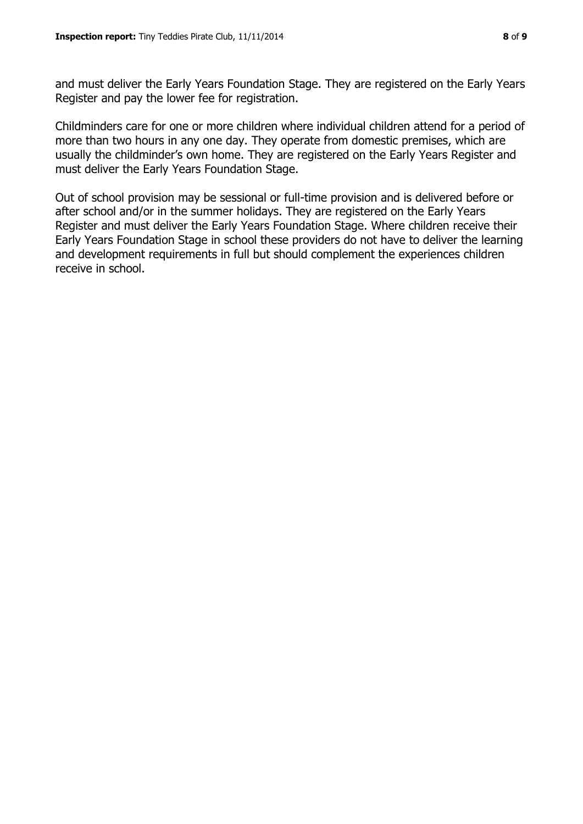and must deliver the Early Years Foundation Stage. They are registered on the Early Years Register and pay the lower fee for registration.

Childminders care for one or more children where individual children attend for a period of more than two hours in any one day. They operate from domestic premises, which are usually the childminder's own home. They are registered on the Early Years Register and must deliver the Early Years Foundation Stage.

Out of school provision may be sessional or full-time provision and is delivered before or after school and/or in the summer holidays. They are registered on the Early Years Register and must deliver the Early Years Foundation Stage. Where children receive their Early Years Foundation Stage in school these providers do not have to deliver the learning and development requirements in full but should complement the experiences children receive in school.